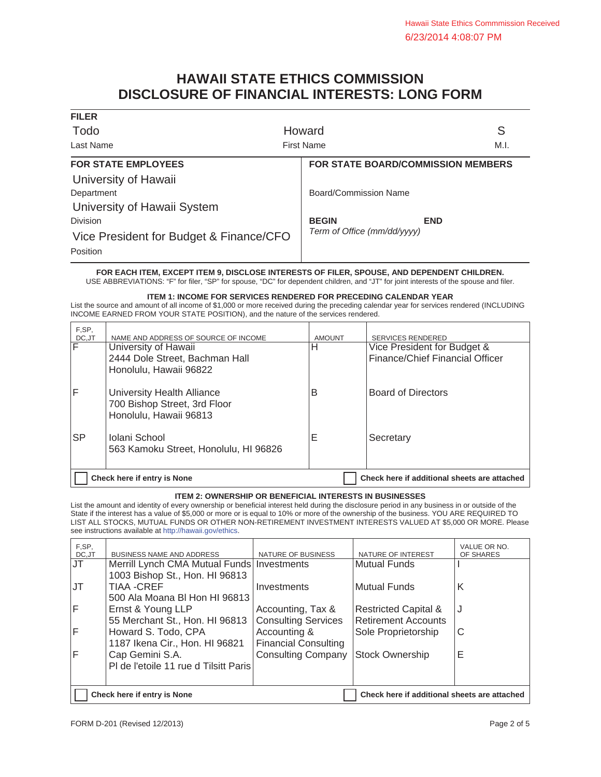# **HAWAII STATE ETHICS COMMISSION DISCLOSURE OF FINANCIAL INTERESTS: LONG FORM**

| <b>FILER</b>                            |                                    |
|-----------------------------------------|------------------------------------|
| Todo                                    | S<br>Howard                        |
| Last Name                               | <b>First Name</b><br>M.I.          |
| <b>FOR STATE EMPLOYEES</b>              | FOR STATE BOARD/COMMISSION MEMBERS |
| University of Hawaii                    |                                    |
| Department                              | <b>Board/Commission Name</b>       |
| University of Hawaii System             |                                    |
| Division                                | <b>BEGIN</b><br><b>END</b>         |
| Vice President for Budget & Finance/CFO | Term of Office (mm/dd/yyyy)        |
| Position                                |                                    |

**FOR EACH ITEM, EXCEPT ITEM 9, DISCLOSE INTERESTS OF FILER, SPOUSE, AND DEPENDENT CHILDREN.** USE ABBREVIATIONS: "F" for filer, "SP" for spouse, "DC" for dependent children, and "JT" for joint interests of the spouse and filer.

**ITEM 1: INCOME FOR SERVICES RENDERED FOR PRECEDING CALENDAR YEAR**

List the source and amount of all income of \$1,000 or more received during the preceding calendar year for services rendered (INCLUDING INCOME EARNED FROM YOUR STATE POSITION), and the nature of the services rendered.

| F,SP,<br>DC,JT          | NAME AND ADDRESS OF SOURCE OF INCOME                                                 | <b>AMOUNT</b> | <b>SERVICES RENDERED</b>                                       |
|-------------------------|--------------------------------------------------------------------------------------|---------------|----------------------------------------------------------------|
| $\overline{\mathsf{F}}$ | University of Hawaii<br>2444 Dole Street, Bachman Hall<br>Honolulu, Hawaii 96822     | н             | Vice President for Budget &<br>Finance/Chief Financial Officer |
| IF                      | University Health Alliance<br>700 Bishop Street, 3rd Floor<br>Honolulu, Hawaii 96813 | B             | <b>Board of Directors</b>                                      |
| <b>SP</b>               | Iolani School<br>563 Kamoku Street, Honolulu, HI 96826                               | E             | Secretary                                                      |
|                         | Check here if entry is None                                                          |               | Check here if additional sheets are attached                   |

## **ITEM 2: OWNERSHIP OR BENEFICIAL INTERESTS IN BUSINESSES**

List the amount and identity of every ownership or beneficial interest held during the disclosure period in any business in or outside of the State if the interest has a value of \$5,000 or more or is equal to 10% or more of the ownership of the business. YOU ARE REQUIRED TO LIST ALL STOCKS, MUTUAL FUNDS OR OTHER NON-RETIREMENT INVESTMENT INTERESTS VALUED AT \$5,000 OR MORE. Please see instructions available at http://hawaii.gov/ethics.

| F.SP.<br>DC,JT | <b>BUSINESS NAME AND ADDRESS</b>                                            | NATURE OF BUSINESS          | NATURE OF INTEREST              | VALUE OR NO.<br>OF SHARES |
|----------------|-----------------------------------------------------------------------------|-----------------------------|---------------------------------|---------------------------|
| JT             | Merrill Lynch CMA Mutual Funds   Investments                                |                             | <b>Mutual Funds</b>             |                           |
|                | 1003 Bishop St., Hon. HI 96813                                              |                             |                                 |                           |
| <b>IJT</b>     | TIAA -CREF                                                                  | Investments                 | Mutual Funds                    | K                         |
|                | 500 Ala Moana BI Hon HI 96813                                               |                             |                                 |                           |
| IF             | Ernst & Young LLP                                                           | Accounting, Tax &           | <b>Restricted Capital &amp;</b> | IJ                        |
|                | 55 Merchant St., Hon. HI 96813                                              | <b>Consulting Services</b>  | Retirement Accounts             |                           |
| lF             | Howard S. Todo, CPA                                                         | Accounting &                | Sole Proprietorship             | C                         |
|                | 1187 Ikena Cir., Hon. HI 96821                                              | <b>Financial Consulting</b> |                                 |                           |
| lF             | Cap Gemini S.A.                                                             | <b>Consulting Company</b>   | <b>Stock Ownership</b>          | Е                         |
|                | PI de l'etoile 11 rue d Tilsitt Paris                                       |                             |                                 |                           |
|                |                                                                             |                             |                                 |                           |
|                | Check here if additional sheets are attached<br>Check here if entry is None |                             |                                 |                           |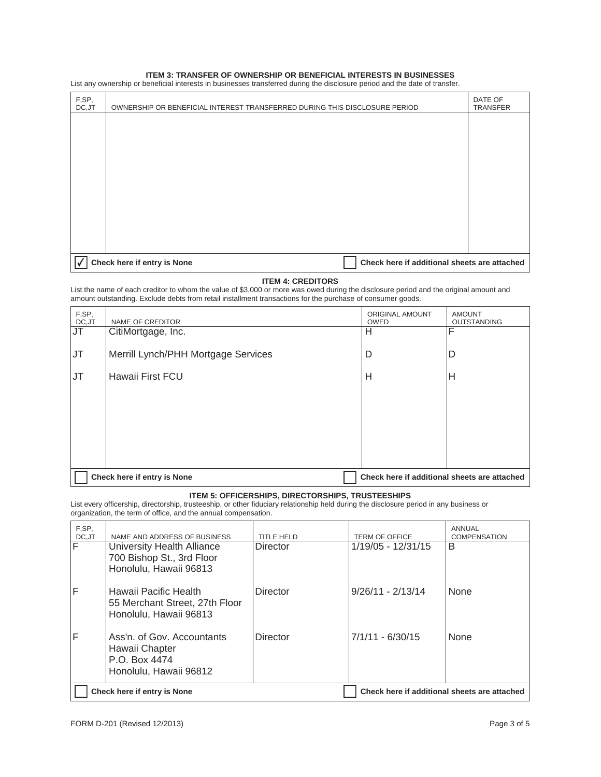#### **ITEM 3: TRANSFER OF OWNERSHIP OR BENEFICIAL INTERESTS IN BUSINESSES**

List any ownership or beneficial interests in businesses transferred during the disclosure period and the date of transfer.

| F,SP,<br>DC, JT | OWNERSHIP OR BENEFICIAL INTEREST TRANSFERRED DURING THIS DISCLOSURE PERIOD |                                              | DATE OF<br><b>TRANSFER</b> |
|-----------------|----------------------------------------------------------------------------|----------------------------------------------|----------------------------|
|                 |                                                                            |                                              |                            |
|                 |                                                                            |                                              |                            |
|                 |                                                                            |                                              |                            |
|                 |                                                                            |                                              |                            |
|                 |                                                                            |                                              |                            |
|                 |                                                                            |                                              |                            |
|                 |                                                                            |                                              |                            |
| √               | Check here if entry is None                                                | Check here if additional sheets are attached |                            |

## **ITEM 4: CREDITORS**

List the name of each creditor to whom the value of \$3,000 or more was owed during the disclosure period and the original amount and amount outstanding. Exclude debts from retail installment transactions for the purchase of consumer goods.

| F,SP,<br>DC, JT | NAME OF CREDITOR                    | ORIGINAL AMOUNT<br><b>OWED</b>               | <b>AMOUNT</b><br><b>OUTSTANDING</b> |
|-----------------|-------------------------------------|----------------------------------------------|-------------------------------------|
| JT              | CitiMortgage, Inc.                  | H                                            | F                                   |
| <b>JT</b>       | Merrill Lynch/PHH Mortgage Services | D                                            | D                                   |
| JT              | Hawaii First FCU                    | H                                            | Н                                   |
|                 |                                     |                                              |                                     |
|                 |                                     |                                              |                                     |
|                 |                                     |                                              |                                     |
|                 |                                     |                                              |                                     |
|                 | Check here if entry is None         | Check here if additional sheets are attached |                                     |

## **ITEM 5: OFFICERSHIPS, DIRECTORSHIPS, TRUSTEESHIPS**

List every officership, directorship, trusteeship, or other fiduciary relationship held during the disclosure period in any business or organization, the term of office, and the annual compensation.

| F,SP,<br>DC,JT | NAME AND ADDRESS OF BUSINESS                                                            | <b>TITLE HELD</b> | <b>TERM OF OFFICE</b>                        | ANNUAL<br><b>COMPENSATION</b> |
|----------------|-----------------------------------------------------------------------------------------|-------------------|----------------------------------------------|-------------------------------|
| F              | University Health Alliance<br>700 Bishop St., 3rd Floor<br>Honolulu, Hawaii 96813       | <b>Director</b>   | 1/19/05 - 12/31/15                           | B                             |
| F              | Hawaii Pacific Health<br>55 Merchant Street, 27th Floor<br>Honolulu, Hawaii 96813       | Director          | $9/26/11 - 2/13/14$                          | None                          |
| F              | Ass'n, of Gov. Accountants<br>Hawaii Chapter<br>P.O. Box 4474<br>Honolulu, Hawaii 96812 | Director          | $7/1/11 - 6/30/15$                           | <b>None</b>                   |
|                | Check here if entry is None                                                             |                   | Check here if additional sheets are attached |                               |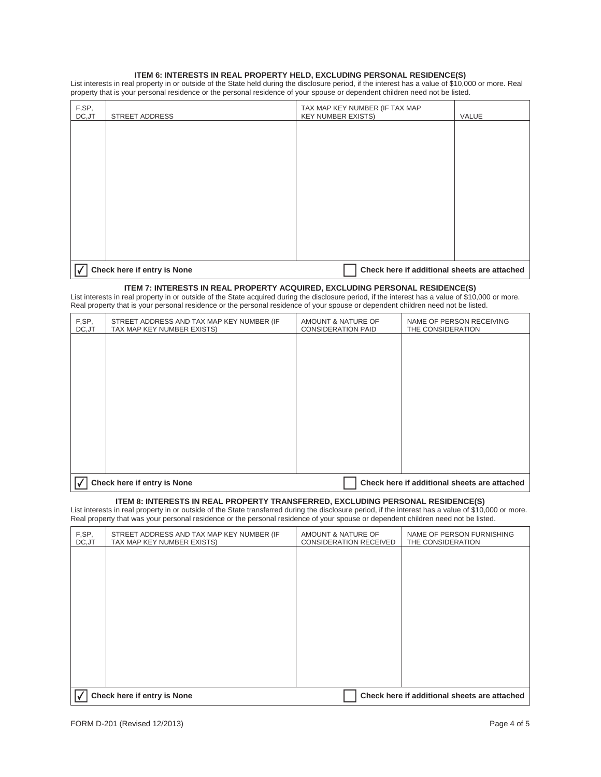## **ITEM 6: INTERESTS IN REAL PROPERTY HELD, EXCLUDING PERSONAL RESIDENCE(S)**

List interests in real property in or outside of the State held during the disclosure period, if the interest has a value of \$10,000 or more. Real property that is your personal residence or the personal residence of your spouse or dependent children need not be listed.

| F,SP,<br>DC, JT | <b>STREET ADDRESS</b>       | TAX MAP KEY NUMBER (IF TAX MAP<br><b>KEY NUMBER EXISTS)</b> | VALUE |
|-----------------|-----------------------------|-------------------------------------------------------------|-------|
|                 |                             |                                                             |       |
|                 |                             |                                                             |       |
|                 |                             |                                                             |       |
|                 |                             |                                                             |       |
|                 |                             |                                                             |       |
|                 |                             |                                                             |       |
|                 |                             |                                                             |       |
|                 |                             |                                                             |       |
| I۷              | Check here if entry is None | Check here if additional sheets are attached                |       |

#### **ITEM 7: INTERESTS IN REAL PROPERTY ACQUIRED, EXCLUDING PERSONAL RESIDENCE(S)**

List interests in real property in or outside of the State acquired during the disclosure period, if the interest has a value of \$10,000 or more. Real property that is your personal residence or the personal residence of your spouse or dependent children need not be listed.

| F,SP,<br>DC, JT | STREET ADDRESS AND TAX MAP KEY NUMBER (IF<br>TAX MAP KEY NUMBER EXISTS) | AMOUNT & NATURE OF<br><b>CONSIDERATION PAID</b> | NAME OF PERSON RECEIVING<br>THE CONSIDERATION |
|-----------------|-------------------------------------------------------------------------|-------------------------------------------------|-----------------------------------------------|
|                 |                                                                         |                                                 |                                               |
|                 |                                                                         |                                                 |                                               |
|                 |                                                                         |                                                 |                                               |
|                 |                                                                         |                                                 |                                               |
|                 |                                                                         |                                                 |                                               |
|                 |                                                                         |                                                 |                                               |
|                 |                                                                         |                                                 |                                               |
|                 | Check here if entry is None                                             |                                                 | Check here if additional sheets are attached  |

## **ITEM 8: INTERESTS IN REAL PROPERTY TRANSFERRED, EXCLUDING PERSONAL RESIDENCE(S)**

List interests in real property in or outside of the State transferred during the disclosure period, if the interest has a value of \$10,000 or more. Real property that was your personal residence or the personal residence of your spouse or dependent children need not be listed.

| F,SP,<br>DC, JT | STREET ADDRESS AND TAX MAP KEY NUMBER (IF<br>TAX MAP KEY NUMBER EXISTS) | AMOUNT & NATURE OF<br><b>CONSIDERATION RECEIVED</b> | NAME OF PERSON FURNISHING<br>THE CONSIDERATION |
|-----------------|-------------------------------------------------------------------------|-----------------------------------------------------|------------------------------------------------|
|                 |                                                                         |                                                     |                                                |
|                 |                                                                         |                                                     |                                                |
|                 |                                                                         |                                                     |                                                |
|                 |                                                                         |                                                     |                                                |
|                 |                                                                         |                                                     |                                                |
|                 |                                                                         |                                                     |                                                |
|                 |                                                                         |                                                     |                                                |
|                 | Check here if entry is None                                             |                                                     | Check here if additional sheets are attached   |